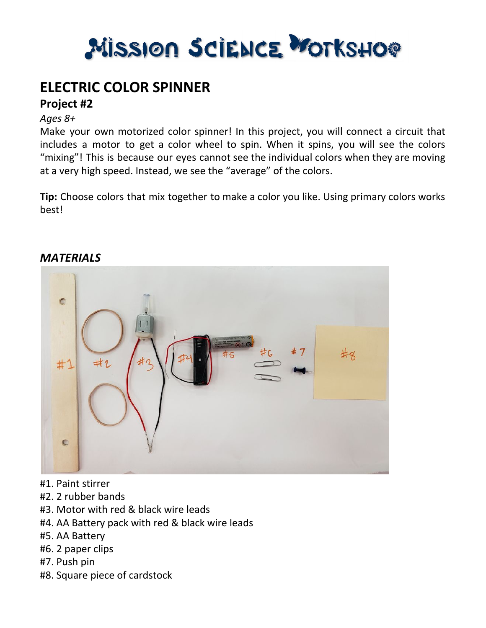

## **ELECTRIC COLOR SPINNER**

### **Project #2**

#### *Ages 8+*

Make your own motorized color spinner! In this project, you will connect a circuit that includes a motor to get a color wheel to spin. When it spins, you will see the colors "mixing"! This is because our eyes cannot see the individual colors when they are moving at a very high speed. Instead, we see the "average" of the colors.

**Tip:** Choose colors that mix together to make a color you like. Using primary colors works best!



#### *MATERIALS*

- #1. Paint stirrer
- #2. 2 rubber bands
- #3. Motor with red & black wire leads
- #4. AA Battery pack with red & black wire leads
- #5. AA Battery
- #6. 2 paper clips
- #7. Push pin
- #8. Square piece of cardstock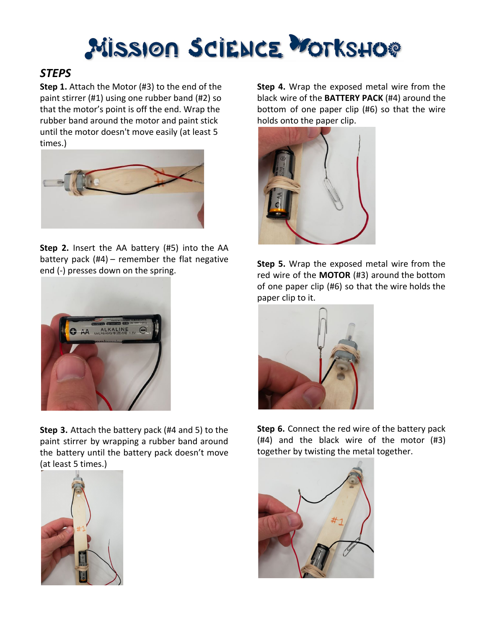# Mission Science Workshop

### *STEPS*

**Step 1.** Attach the Motor (#3) to the end of the paint stirrer (#1) using one rubber band (#2) so that the motor's point is off the end. Wrap the rubber band around the motor and paint stick until the motor doesn't move easily (at least 5 times.)



**Step 2.** Insert the AA battery (#5) into the AA battery pack (#4) – remember the flat negative end (-) presses down on the spring.



**Step 3.** Attach the battery pack (#4 and 5) to the paint stirrer by wrapping a rubber band around the battery until the battery pack doesn't move (at least 5 times.)



**Step 4.** Wrap the exposed metal wire from the black wire of the **BATTERY PACK** (#4) around the bottom of one paper clip (#6) so that the wire holds onto the paper clip.



**Step 5.** Wrap the exposed metal wire from the red wire of the **MOTOR** (#3) around the bottom of one paper clip (#6) so that the wire holds the paper clip to it.



**Step 6.** Connect the red wire of the battery pack (#4) and the black wire of the motor (#3) together by twisting the metal together.